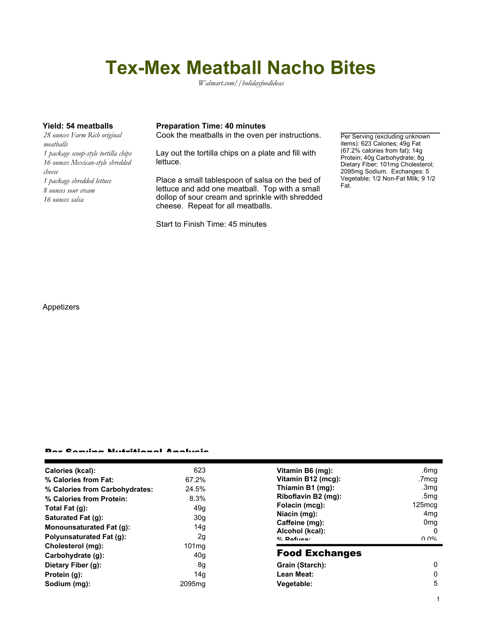# **Tex-Mex Meatball Nacho Bites**

*Walmart.com//holidayfoodideas*

*28 ounces Farm Rich original meatballs 1 package scoop-style tortilla chips 16 ounces Mexican-style shredded cheese 1 package shredded lettuce 8 ounces sour cream 16 ounces salsa*

### **Yield: 54 meatballs Preparation Time: 40 minutes**

Cook the meatballs in the oven per instructions.

Lay out the tortilla chips on a plate and fill with lettuce.

Place a small tablespoon of salsa on the bed of lettuce and add one meatball. Top with a small dollop of sour cream and sprinkle with shredded cheese. Repeat for all meatballs.

Start to Finish Time: 45 minutes

Per Serving (excluding unknown items): 623 Calories; 49g Fat (67.2% calories from fat); 14g Protein; 40g Carbohydrate; 8g Dietary Fiber; 101mg Cholesterol; 2095mg Sodium. Exchanges: 5 Vegetable; 1/2 Non-Fat Milk; 9 1/2 Fat.

Appetizers

#### Per Serving Nutritional Analysis

| Calories (kcal):               | 623                | Vitamin B6 (mg):      | .6mq                                  |
|--------------------------------|--------------------|-----------------------|---------------------------------------|
| % Calories from Fat:           | 67.2%              | Vitamin B12 (mcg):    | .7mcg                                 |
| % Calories from Carbohydrates: | 24.5%              | Thiamin B1 (mg):      | .3mq                                  |
| % Calories from Protein:       | 8.3%               | Riboflavin B2 (mg):   | .5mg                                  |
| Total Fat (g):                 | 49g                | Folacin (mcg):        | $125 \text{m}$ cq                     |
| Saturated Fat (g):             | 30 <sub>g</sub>    | Niacin (mg):          | 4 <sub>mq</sub>                       |
|                                |                    | Caffeine (mg):        | 0 <sub>mq</sub>                       |
| Monounsaturated Fat (g):       | 14g                | Alcohol (kcal):       | 0                                     |
| Polyunsaturated Fat (g):       | 2g                 | $0/2$ Pofileo:        | $\Omega$ $\Omega$ <sup>o</sup> $\sim$ |
| Cholesterol (mg):              | 101 <sub>mq</sub>  |                       |                                       |
| Carbohydrate (g):              | 40 <sub>g</sub>    | <b>Food Exchanges</b> |                                       |
| Dietary Fiber (g):             | 8g                 | Grain (Starch):       | 0                                     |
| Protein (g):                   | 14g                | Lean Meat:            | 0                                     |
| Sodium (mg):                   | 2095 <sub>mq</sub> | Vegetable:            | 5                                     |